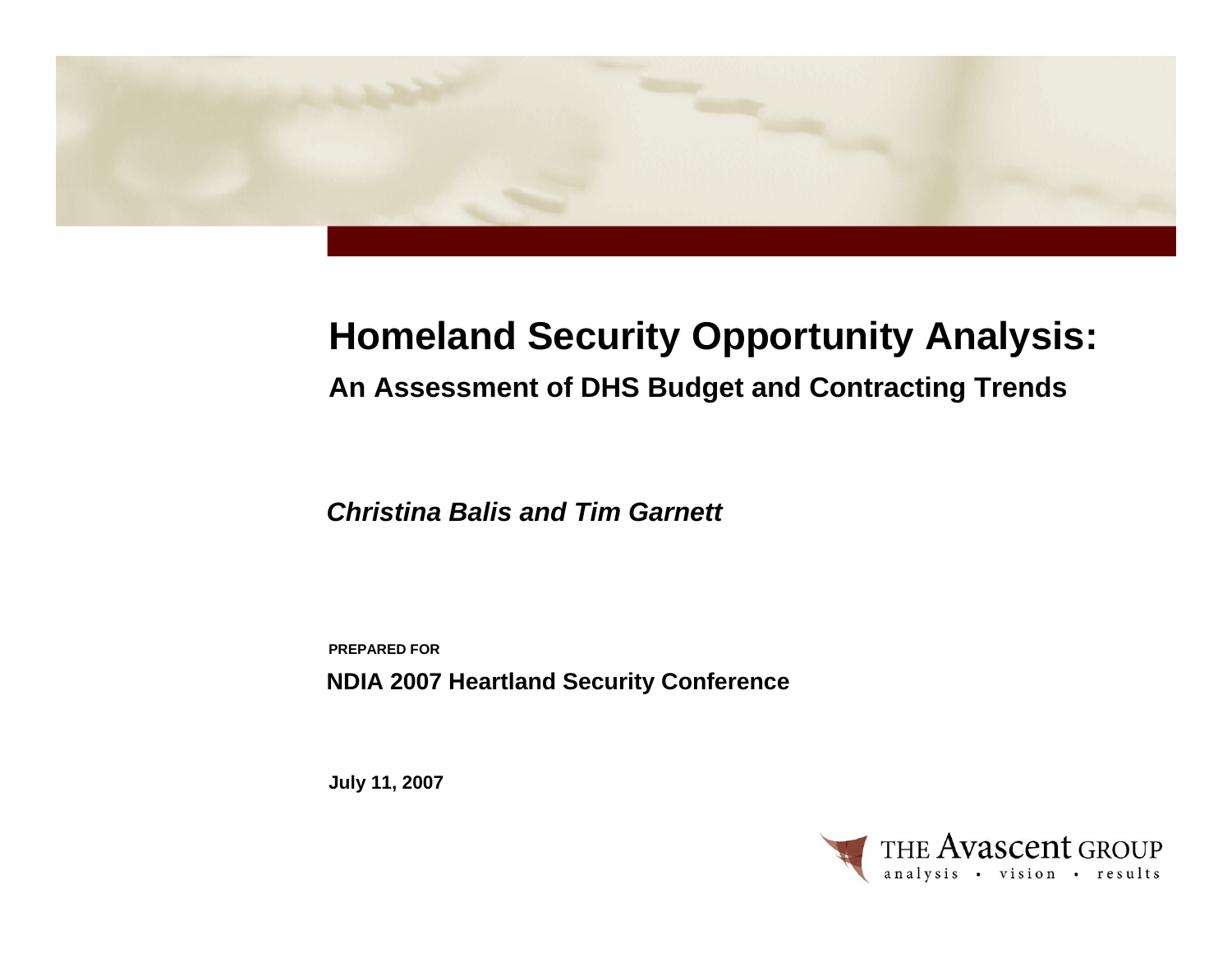

# **Homeland Security Opportunity Analysis:**

# **An Assessment of DHS Budget and Contracting Trends**

*Christina Balis and Tim Garnett*

**PREPARED FOR**

**NDIA 2007 Heartland Security Conference**

**July 11, 2007**

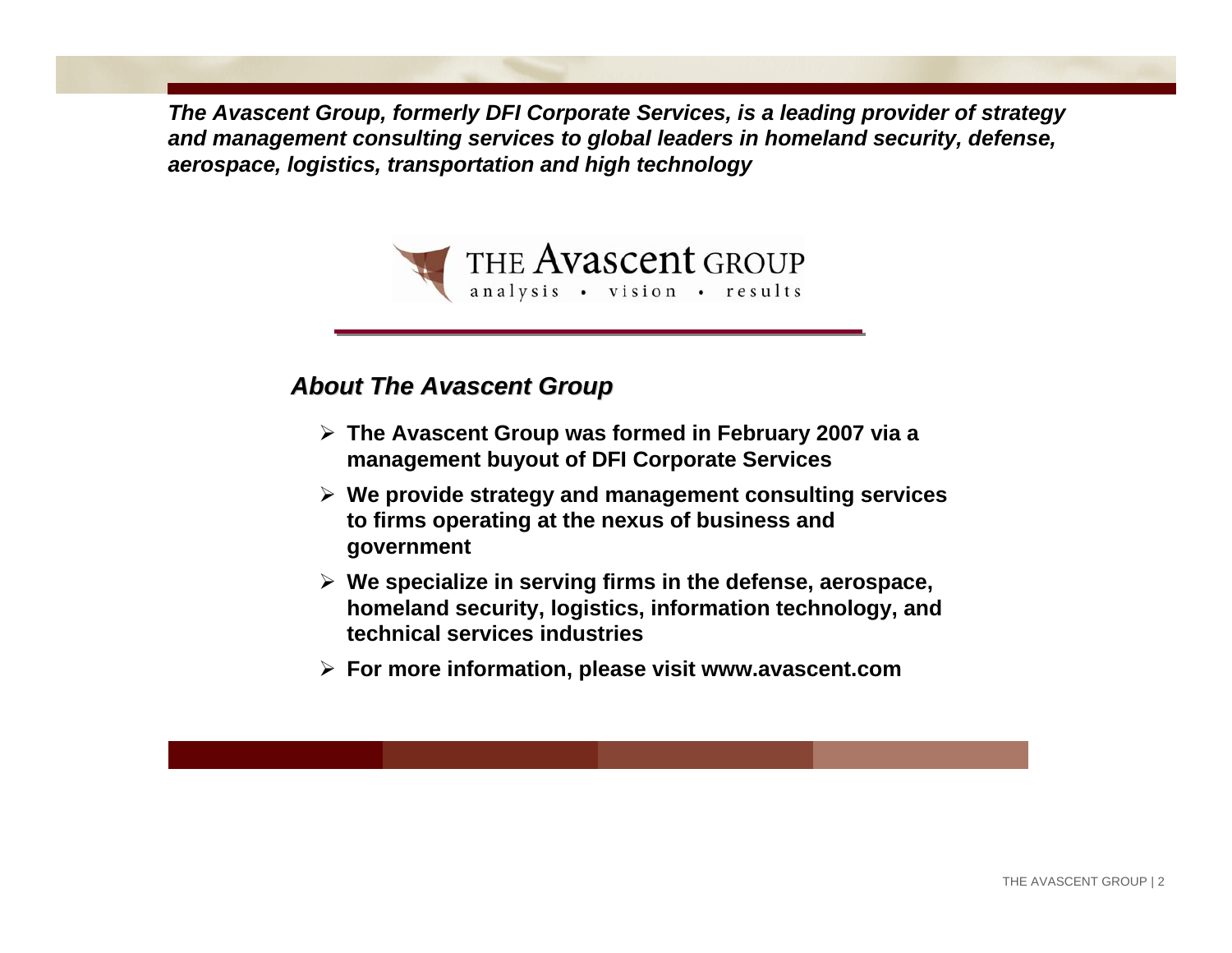*The Avascent Group, formerly DFI Corporate Services, is a leading provider of strategy and management consulting services to global leaders in homeland security, defense, aerospace, logistics, transportation and high technology* 



# *About The Avascent Group About The Avascent*

- ¾ **The Avascent Group was formed in February 2007 via a management buyout of DFI Corporate Services**
- ¾ **We provide strategy and management consulting services to firms operating at the nexus of business and government**
- ¾ **We specialize in serving firms in the defense, aerospace, homeland security, logistics, information technology, and technical services industries**
- ¾ **For more information, please visit www.avascent.com**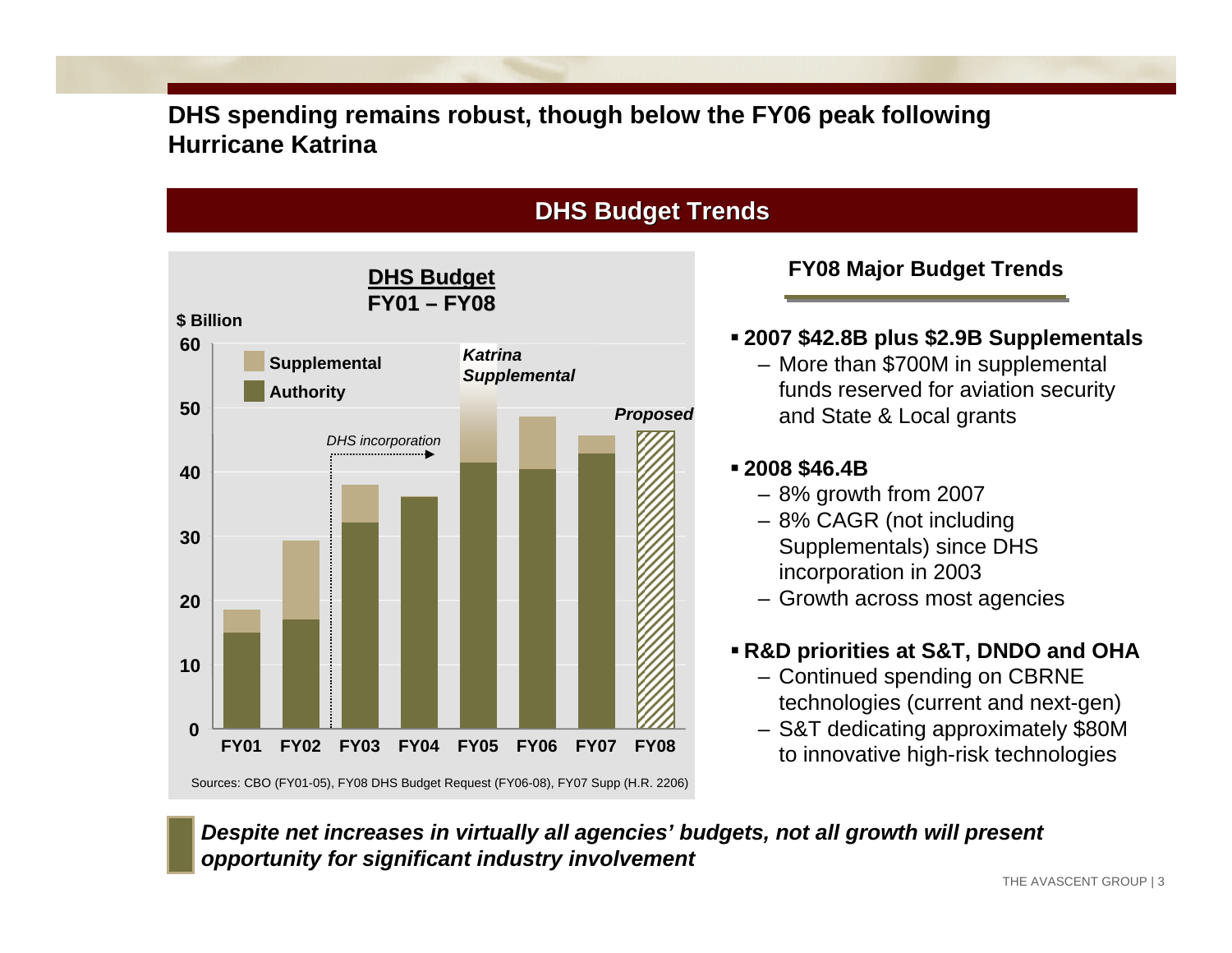## **DHS spending remains robust, though below the FY06 peak following Hurricane Katrina**



Despite net increases in virtually all agencies' budgets, not all growth will present *opportunity for significant industry involvement*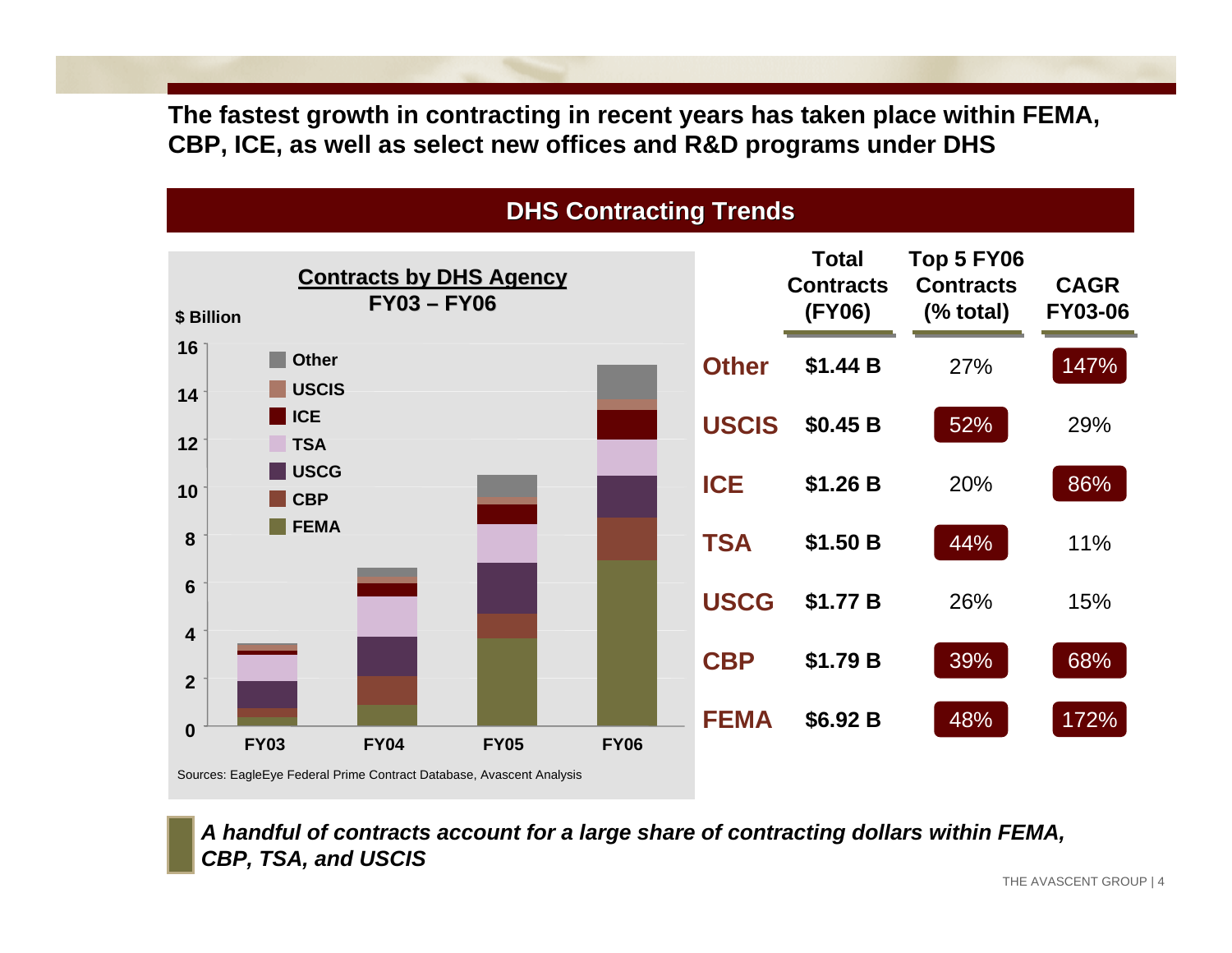**The fastest growth in contracting in recent years has taken place within FEMA, CBP, ICE, as well as select new offices and R&D programs under DHS**

**DHS Contracting Trends DHS Contracting Trends**



Sources: EagleEye Federal Prime Contract Database, Avascent Analysis

### *A handful of contracts account for a large share of contracting dollars within FEMA, CBP, TSA, and USCIS*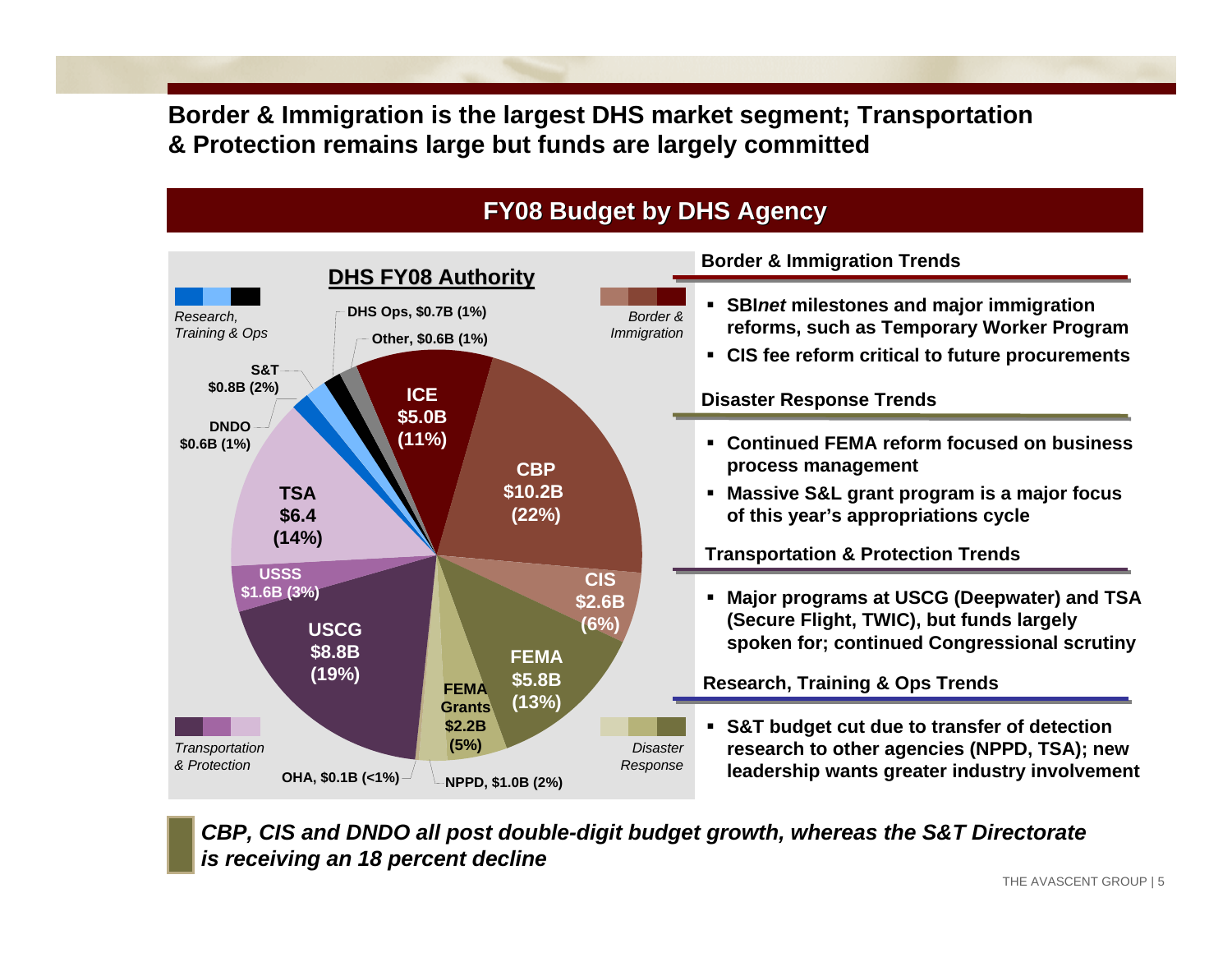**Border & Immigration is the largest DHS market segment; Transportation & Protection remains large but funds are largely committed**

# **FY08 Budget by DHS Agency FY08 Budget DHS Agency**



*CBP, CIS and DNDO all post double-digit budget growth, whereas the S&T Directorate is receiving an 18 percent decline*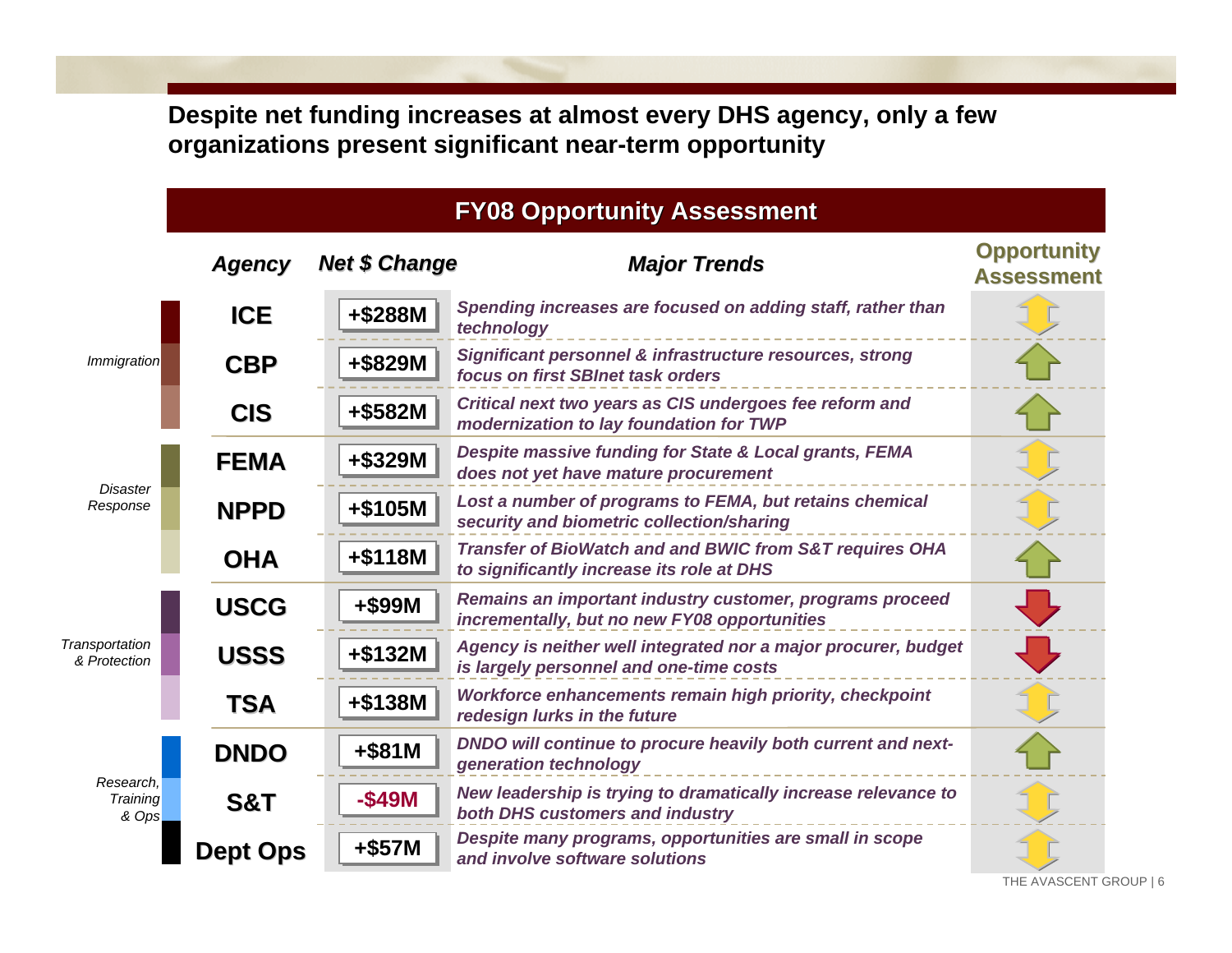**Despite net funding increases at almost every DHS agency, only a few organizations present significant near-term opportunity**

|                                | <b>FY08 Opportunity Assessment</b> |                      |                                                                                                                 |                                         |
|--------------------------------|------------------------------------|----------------------|-----------------------------------------------------------------------------------------------------------------|-----------------------------------------|
|                                | <b>Agency</b>                      | <b>Net \$ Change</b> | <b>Major Trends</b>                                                                                             | <b>Opportunity</b><br><b>Assessment</b> |
| <i>Immigration</i>             | <b>ICE</b>                         | +\$288M              | Spending increases are focused on adding staff, rather than<br>technology                                       |                                         |
|                                | <b>CBP</b>                         | +\$829M              | Significant personnel & infrastructure resources, strong<br>focus on first SBInet task orders                   |                                         |
|                                | <b>CIS</b>                         | $+$ \$582M           | Critical next two years as CIS undergoes fee reform and<br>modernization to lay foundation for TWP              |                                         |
| <b>Disaster</b><br>Response    | <b>FEMA</b>                        | $+$ \$329M           | Despite massive funding for State & Local grants, FEMA<br>does not yet have mature procurement                  |                                         |
|                                | <b>NPPD</b>                        | $+ $105M$            | Lost a number of programs to FEMA, but retains chemical<br>security and biometric collection/sharing            |                                         |
|                                | <b>OHA</b>                         | $+ $118M$            | <b>Transfer of BioWatch and and BWIC from S&amp;T requires OHA</b><br>to significantly increase its role at DHS |                                         |
| Transportation<br>& Protection | <b>USCG</b>                        | +\$99M               | Remains an important industry customer, programs proceed<br>incrementally, but no new FY08 opportunities        |                                         |
|                                | <b>USSS</b>                        | $+ $132M$            | Agency is neither well integrated nor a major procurer, budget<br>is largely personnel and one-time costs       |                                         |
|                                | <b>TSA</b>                         | $+ $138M$            | Workforce enhancements remain high priority, checkpoint<br>redesign lurks in the future                         |                                         |
| Research.<br>Training<br>& Ops | <b>DNDO</b>                        | $+ $81M$             | DNDO will continue to procure heavily both current and next-<br>generation technology                           |                                         |
|                                | <b>S&amp;T</b>                     | $-$49M$              | New leadership is trying to dramatically increase relevance to<br>both DHS customers and industry               |                                         |
|                                | <b>Dept Ops</b>                    | $+$ \$57M            | Despite many programs, opportunities are small in scope<br>and involve software solutions                       |                                         |

THE AVASCENT GROUP | 6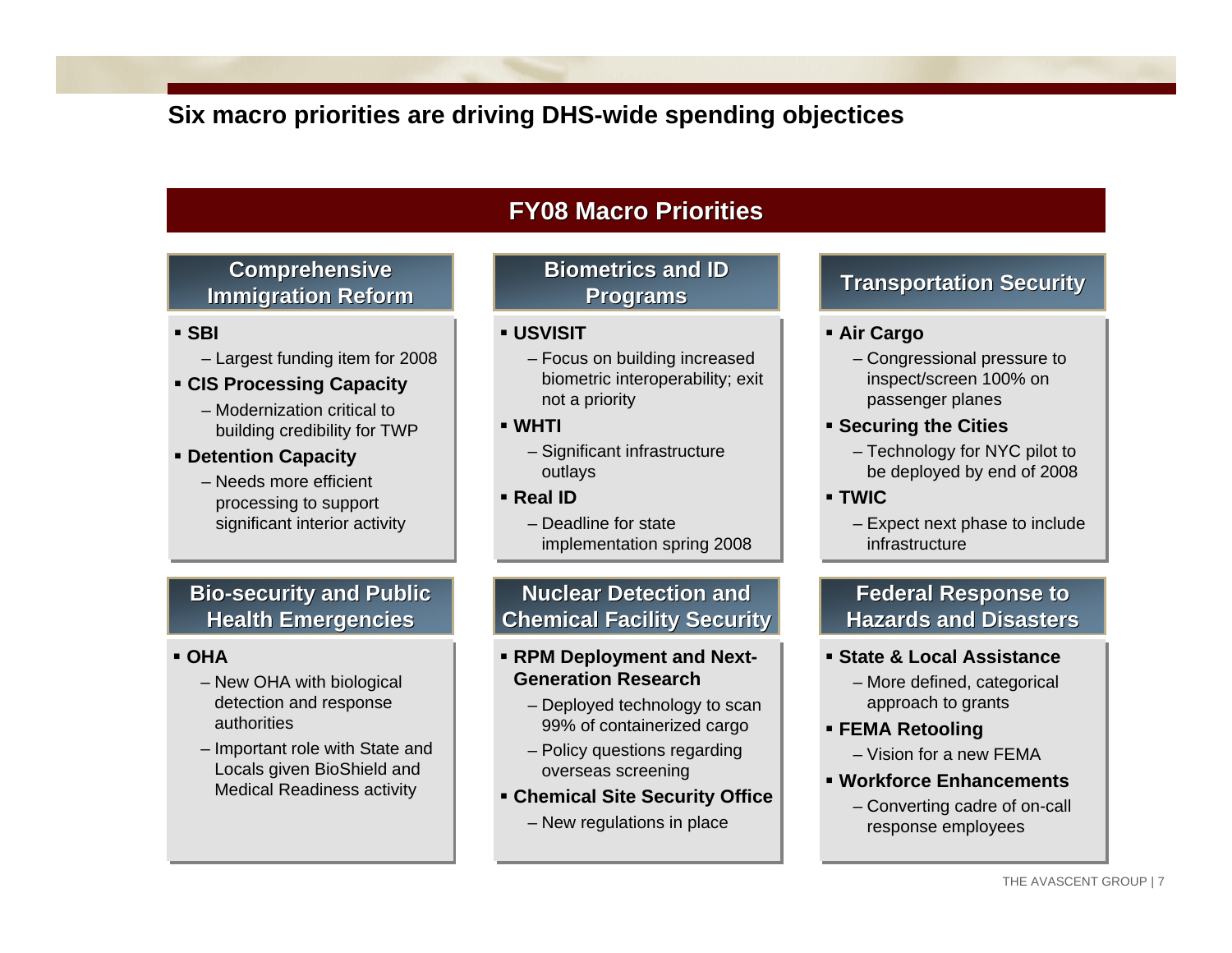# **Six macro priorities are driving DHS-wide spending objectices**

# **FY08 Macro Priorities FY08 Macro Priorities**

# **Transportation Security Biometrics and ID Biometrics and ID Biometrics and ID Biometrics and ID Biometrics and ID Biometrics and ID Biometrics and ID Transportation Security**

#### **SBI SBI**

– Largest funding item for 2008 – Largest funding item for 2008

#### **CIS Processing Capacity CIS Processing Capacity**

– Modernization critical to building credibility for TWP building credibility for TWP

#### **Detention Capacity Detention Capacity**

– Needs more efficient processing to support processing to support significant interior activity significant interior activity

### **Bio-security and Public security and Public Health Emergencies Health Emergencies**

#### **OHA OHA**

- New OHA with biological New OHA with biological detection and response detection and response authorities
- Important role with State and Important role with State and Locals given BioShield and Locals given BioShield and Medical Readiness activity Medical Readiness activity

#### **USVISIT USVISIT**

- Focus on building increased Focus on building increased biometric interoperability; exit biometric interoperability; exit not a priority not a priority
- **WHTI WHTI**
	- Significant infrastructure Significant infrastructure outlays outlays
- **Real ID Real ID** 
	- Deadline for state implementation spring 2008 implementation spring 2008

### **Nuclear Detection and Chemical Facility Security**

#### **RPM Deployment and Next- RPM Deployment and Next-Generation ResearchGeneration Research**

- Deployed technology to scan Deployed technology to scan 99% of containerized cargo 99% of containerized cargo
- Policy questions regarding Policy questions regarding overseas screening overseas screening
- **Chemical Site Security Office Chemical Site Security Office**
	- New regulations in place New regulations in place

#### **Air Cargo Air Cargo**

- Congressional pressure to Congressional pressure to inspect/screen 100% on inspect/screen 100% on passenger planes passenger planes
- **Securing the Cities Securing the Cities**
	- Technology for NYC pilot to Technology for NYC pilot to be deployed by end of 2008 be deployed by end of 2008
- **TWIC TWIC** 
	- Expect next phase to include Expect next phase to include infrastructure

### **Federal Response to Hazards and Disasters Hazards and Disasters**

#### **State & Local Assistance State & Local Assistance**

- More defined, categorical More defined, categorical approach to grants approach to grants
- **FEMA Retooling FEMA Retooling**
	- Vision for a new FEMA
- **Workforce Enhancements Workforce Enhancements**
	- Converting cadre of on-call Converting cadre of on-call response employees response employees